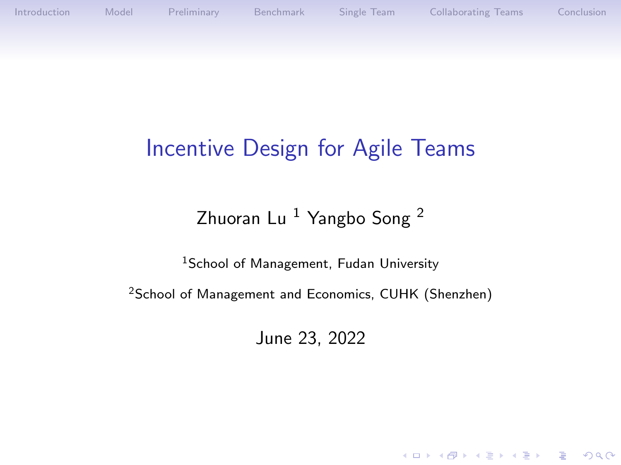[Introduction](#page-1-0) [Model](#page-5-0) [Preliminary](#page-10-0) [Benchmark](#page-14-0) [Single Team](#page-18-0) [Collaborating Teams](#page-26-0) [Conclusion](#page-37-0)

K ロ ▶ K 個 ▶ K 할 ▶ K 할 ▶ 이 할 → 9 Q Q →

# Incentive Design for Agile Teams

### Zhuoran Lu<sup>1</sup> Yangbo Song<sup>2</sup>

<sup>1</sup>School of Management, Fudan University

<sup>2</sup>School of Management and Economics, CUHK (Shenzhen)

June 23, 2022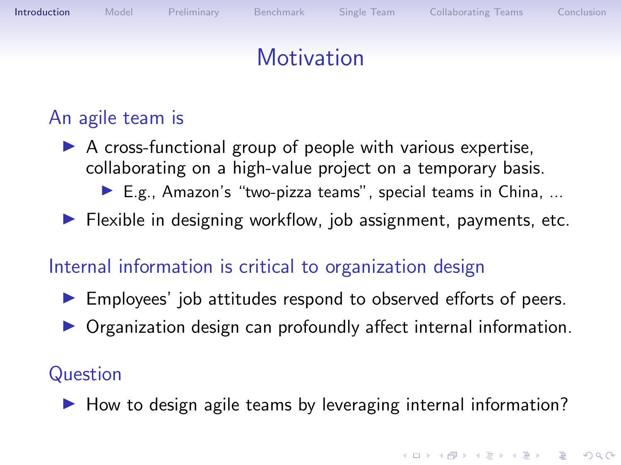<span id="page-1-0"></span>

#### An agile team is

 $\triangleright$  A cross-functional group of people with various expertise, collaborating on a high-value project on a temporary basis.

 $\blacktriangleright$  E.g., Amazon's "two-pizza teams", special teams in China, ...

 $\blacktriangleright$  Flexible in designing workflow, job assignment, payments, etc.

#### Internal information is critical to organization design

- $\blacktriangleright$  Employees' job attitudes respond to observed efforts of peers.
- **Organization design can profoundly affect internal information.**

#### **Question**

 $\blacktriangleright$  How to design agile teams by leveraging internal information?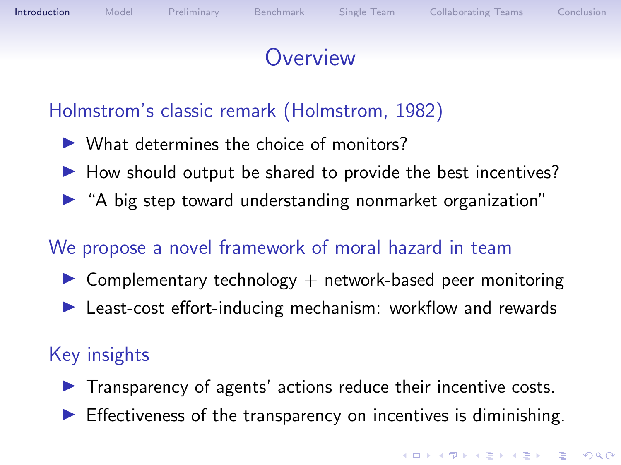# **Overview**

### Holmstrom's classic remark (Holmstrom, 1982)

- $\triangleright$  What determines the choice of monitors?
- $\blacktriangleright$  How should output be shared to provide the best incentives?
- $\blacktriangleright$  "A big step toward understanding nonmarket organization"

### We propose a novel framework of moral hazard in team

- $\triangleright$  Complementary technology  $+$  network-based peer monitoring
- $\blacktriangleright$  Least-cost effort-inducing mechanism: workflow and rewards

### Key insights

- $\blacktriangleright$  Transparency of agents' actions reduce their incentive costs.
- $\triangleright$  Effectiveness of the transparency on incentives is diminishing.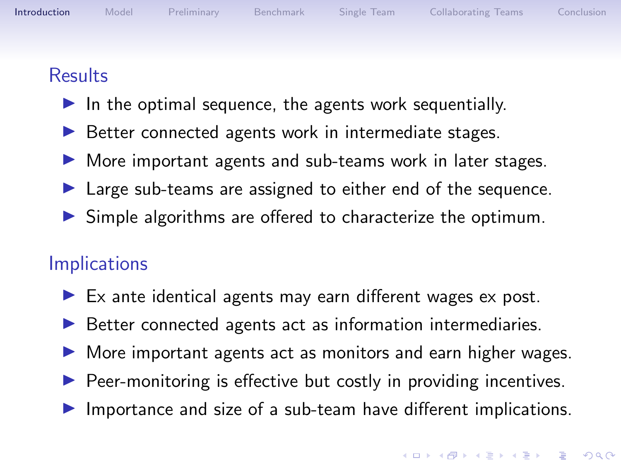#### **Results**

- $\blacktriangleright$  In the optimal sequence, the agents work sequentially.
- $\triangleright$  Better connected agents work in intermediate stages.
- $\triangleright$  More important agents and sub-teams work in later stages.
- $\blacktriangleright$  Large sub-teams are assigned to either end of the sequence.
- $\triangleright$  Simple algorithms are offered to characterize the optimum.

### **Implications**

- $\blacktriangleright$  Ex ante identical agents may earn different wages ex post.
- $\triangleright$  Better connected agents act as information intermediaries.
- $\triangleright$  More important agents act as monitors and earn higher wages.
- $\triangleright$  Peer-monitoring is effective but costly in providing incentives.
- $\blacktriangleright$  Importance and size of a sub-team have different implications.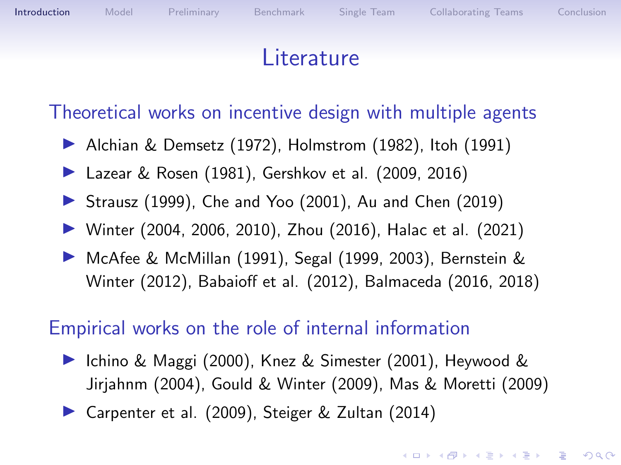## **Literature**

Theoretical works on incentive design with multiple agents

- $\blacktriangleright$  Alchian & Demsetz (1972), Holmstrom (1982), Itoh (1991)
- ▶ Lazear & Rosen (1981), Gershkov et al. (2009, 2016)
- $\triangleright$  Strausz (1999), Che and Yoo (2001), Au and Chen (2019)
- ▶ Winter (2004, 2006, 2010), Zhou (2016), Halac et al. (2021)
- ▶ McAfee & McMillan (1991), Segal (1999, 2003), Bernstein & Winter (2012), Babaioff et al. (2012), Balmaceda (2016, 2018)

#### Empirical works on the role of internal information

- ▶ Ichino & Maggi (2000), Knez & Simester (2001), Heywood & Jirjahnm (2004), Gould & Winter (2009), Mas & Moretti (2009)
- ▶ Carpenter et al. (2009), Steiger & Zultan (2014)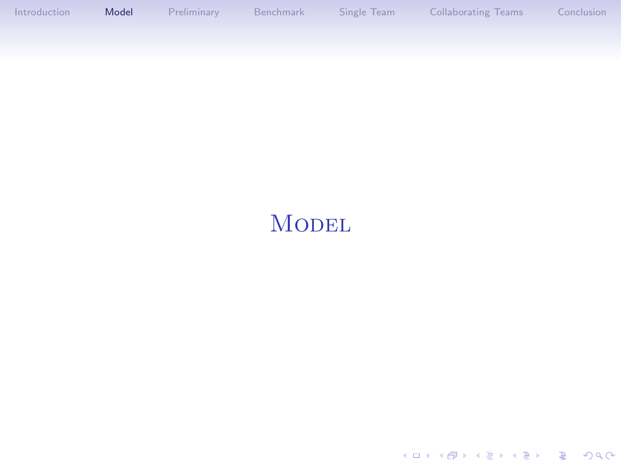<span id="page-5-0"></span>[Introduction](#page-1-0) [Model](#page-5-0) [Preliminary](#page-10-0) [Benchmark](#page-14-0) [Single Team](#page-18-0) [Collaborating Teams](#page-26-0) [Conclusion](#page-37-0)

KOKK@KKEKKEK E 1990

## **MODEL**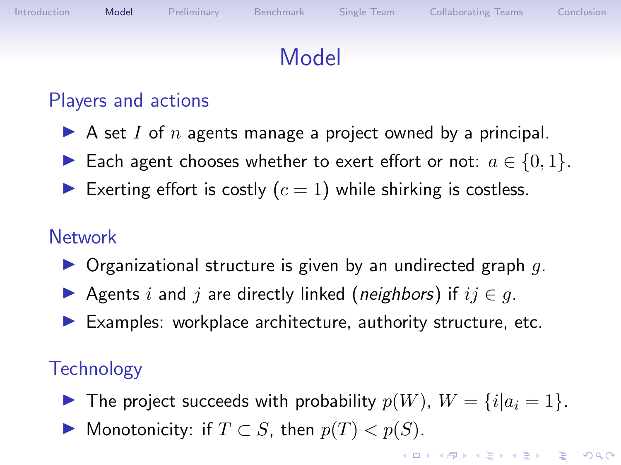# Model

### Players and actions

- A set I of n agents manage a project owned by a principal.
- ► Each agent chooses whether to exert effort or not:  $a \in \{0,1\}$ .
- Exerting effort is costly  $(c = 1)$  while shirking is costless.

### **Network**

- $\triangleright$  Organizational structure is given by an undirected graph q.
- Agents i and j are directly linked (neighbors) if  $ij \in q$ .
- $\blacktriangleright$  Examples: workplace architecture, authority structure, etc.

### **Technology**

- $\blacktriangleright$  The project succeeds with probability  $p(W)$ ,  $W = \{i | a_i = 1\}.$
- ▶ Monotonicity: if  $T \subset S$ , then  $p(T) < p(S)$ .

**KORKAR KERKER ST VOOR**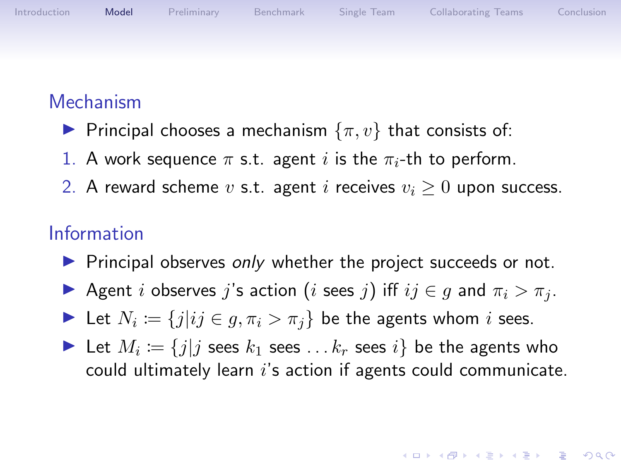

#### Mechanism

- **Principal chooses a mechanism**  $\{\pi, v\}$  that consists of:
- 1. A work sequence  $\pi$  s.t. agent i is the  $\pi_i$ -th to perform.
- 2. A reward scheme v s.t. agent i receives  $v_i \geq 0$  upon success.

#### Information

- $\triangleright$  Principal observes only whether the project succeeds or not.
- Agent i observes j's action (i sees j) iff  $ij \in g$  and  $\pi_i > \pi_j$ .
- Let  $N_i := \{j | ij \in g, \pi_i > \pi_j \}$  be the agents whom i sees.
- In Let  $M_i := \{j | j \text{ sees } k_1 \text{ sees } \ldots k_r \text{ sees } i \}$  be the agents who could ultimately learn  $i$ 's action if agents could communicate.

**KORKARYKERKER POLO**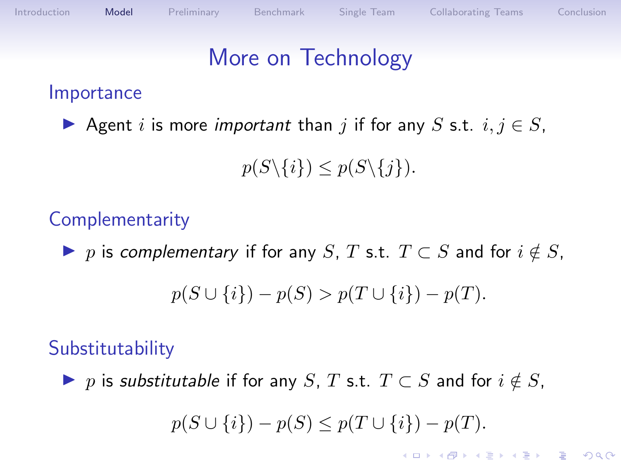# More on Technology

#### Importance

Agent i is more important than j if for any S s.t.  $i, j \in S$ ,

 $p(S\setminus\{i\}) \leq p(S\setminus\{j\}).$ 

## **Complementarity**

 $\triangleright$  p is complementary if for any S, T s.t.  $T \subset S$  and for  $i \notin S$ ,  $p(S \cup \{i\}) - p(S) > p(T \cup \{i\}) - p(T).$ 

#### **Substitutability**

 $\triangleright$  p is substitutable if for any S, T s.t.  $T \subset S$  and for  $i \notin S$ ,

$$
p(S \cup \{i\}) - p(S) \le p(T \cup \{i\}) - p(T).
$$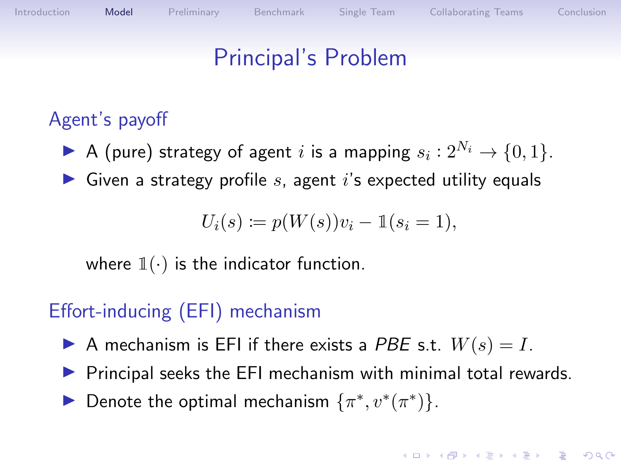## Principal's Problem

### Agent's payoff

- A (pure) strategy of agent i is a mapping  $s_i: 2^{N_i} \rightarrow \{0,1\}.$
- $\triangleright$  Given a strategy profile s, agent i's expected utility equals

$$
U_i(s) := p(W(s))v_i - \mathbb{1}(s_i = 1),
$$

where  $\mathbb{1}(\cdot)$  is the indicator function.

### Effort-inducing (EFI) mechanism

- A mechanism is EFI if there exists a PBE s.t.  $W(s) = I$ .
- $\triangleright$  Principal seeks the EFI mechanism with minimal total rewards.
- ► Denote the optimal mechanism  $\{\pi^*, v^*(\pi^*)\}.$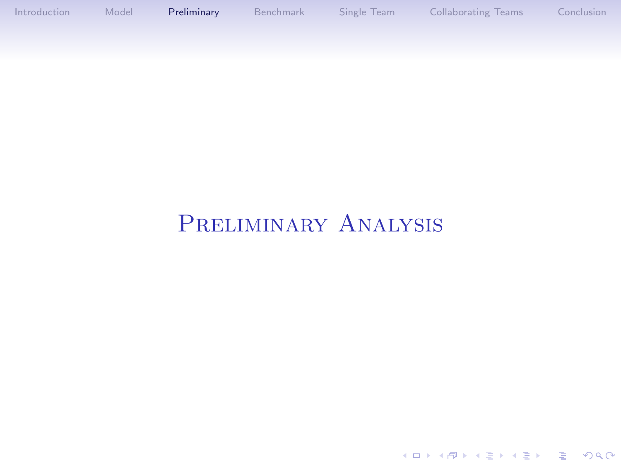<span id="page-10-0"></span>[Introduction](#page-1-0) [Model](#page-5-0) [Preliminary](#page-10-0) [Benchmark](#page-14-0) [Single Team](#page-18-0) [Collaborating Teams](#page-26-0) [Conclusion](#page-37-0)

## Preliminary Analysis

KOKK@KKEKKEK E 1990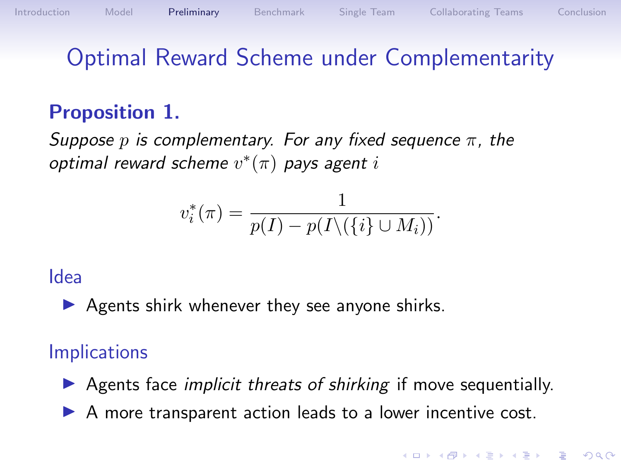# Optimal Reward Scheme under Complementarity

## Proposition 1.

<span id="page-11-0"></span>Suppose p is complementary. For any fixed sequence  $\pi$ , the optimal reward scheme  $v^*(\pi)$  pays agent  $i$ 

$$
v_i^*(\pi) = \frac{1}{p(I) - p(I \setminus (\{i\} \cup M_i))}.
$$

#### Idea

 $\triangleright$  Agents shirk whenever they see anyone shirks.

#### **Implications**

 $\triangleright$  Agents face *implicit threats of shirking* if move sequentially.

 $\triangleright$  A more transparent action leads to a lower incentive cost.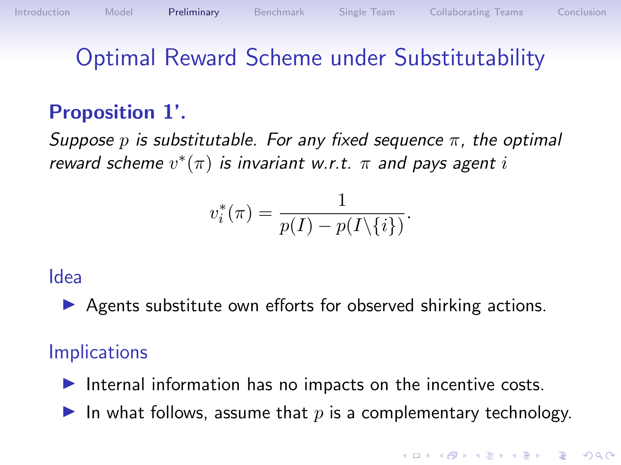# Optimal Reward Scheme under Substitutability

### Proposition 1'.

Suppose p is substitutable. For any fixed sequence  $\pi$ , the optimal reward scheme  $v^*(\pi)$  is invariant w.r.t.  $\pi$  and pays agent i

$$
v_i^*(\pi) = \frac{1}{p(I) - p(I\setminus\{i\})}.
$$

#### Idea

 $\triangleright$  Agents substitute own efforts for observed shirking actions.

#### **Implications**

Internal information has no impacts on the incentive costs.

In what follows, assume that  $p$  is a complementary technology.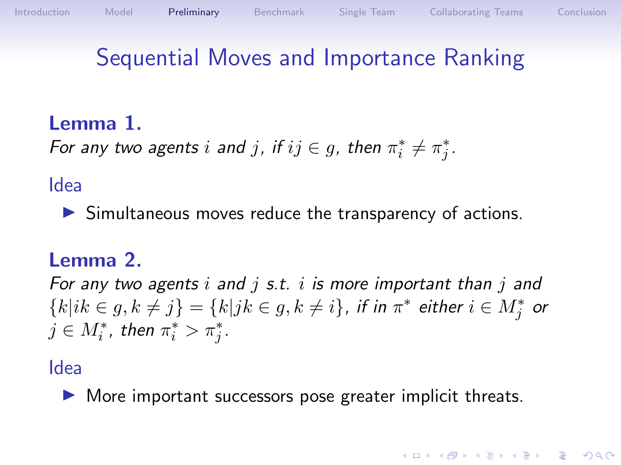# Sequential Moves and Importance Ranking

### Lemma 1.

<span id="page-13-0"></span>For any two agents  $i$  and  $j$ , if  $ij \in g$ , then  $\pi_i^* \neq \pi_j^*$ .

#### Idea

 $\triangleright$  Simultaneous moves reduce the transparency of actions.

#### Lemma 2.

For any two agents i and j s.t. i is more important than j and  ${k|ik \in g, k \neq j} = {k|jk \in g, k \neq i}$ , if in  $\pi^*$  either  $i \in M_j^*$  or  $j \in M_i^*$ , then  $\pi_i^* > \pi_j^*$ .

#### Idea

 $\triangleright$  More important successors pose greater implicit threats.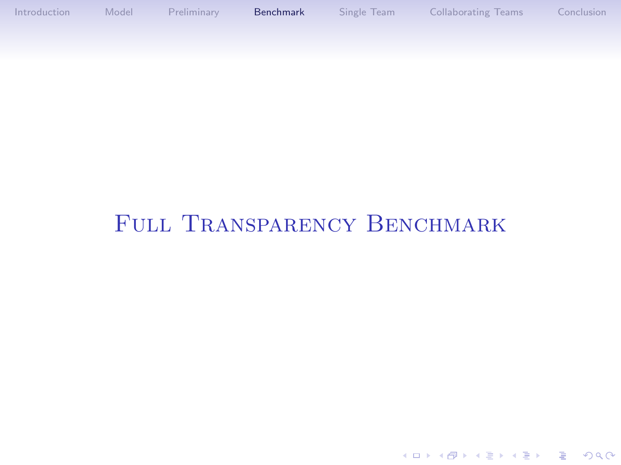<span id="page-14-0"></span>[Introduction](#page-1-0) [Model](#page-5-0) [Preliminary](#page-10-0) [Benchmark](#page-14-0) [Single Team](#page-18-0) [Collaborating Teams](#page-26-0) [Conclusion](#page-37-0)

## FULL TRANSPARENCY BENCHMARK

K ロ ▶ K 個 ▶ K 할 ▶ K 할 ▶ 이 할 → 9 Q Q →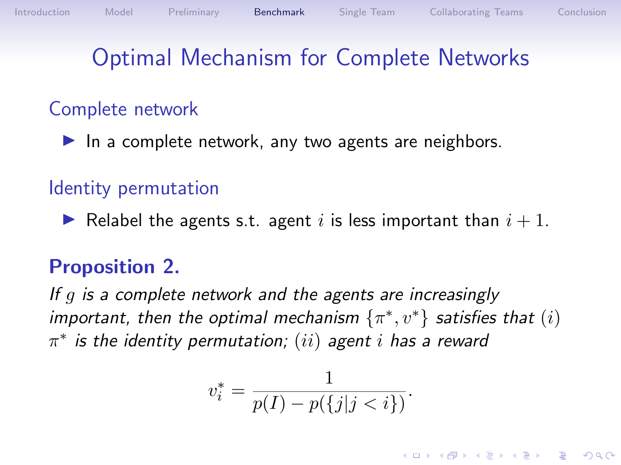## Optimal Mechanism for Complete Networks

#### Complete network

In a complete network, any two agents are neighbors.

#### Identity permutation

Relabel the agents s.t. agent i is less important than  $i + 1$ .

#### Proposition 2.

If g is a complete network and the agents are increasingly important, then the optimal mechanism  $\{\pi^*, v^*\}$  satisfies that  $(i)$  $\pi^*$  is the identity permutation;  $(ii)$  agent  $i$  has a reward

$$
v_i^* = \frac{1}{p(I) - p(\{j | j < i\})}.
$$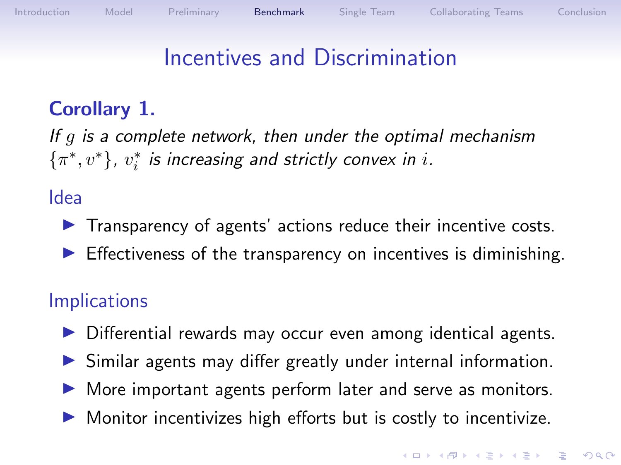# Incentives and Discrimination

## Corollary 1.

If  $q$  is a complete network, then under the optimal mechanism  $\{\pi^*, v^*\}$ ,  $v_i^*$  is increasing and strictly convex in i.

#### Idea

- $\blacktriangleright$  Transparency of agents' actions reduce their incentive costs.
- $\triangleright$  Effectiveness of the transparency on incentives is diminishing.

### **Implications**

- $\triangleright$  Differential rewards may occur even among identical agents.
- $\triangleright$  Similar agents may differ greatly under internal information.
- $\triangleright$  More important agents perform later and serve as monitors.
- $\triangleright$  Monitor incentivizes high efforts but is costly to incentivize.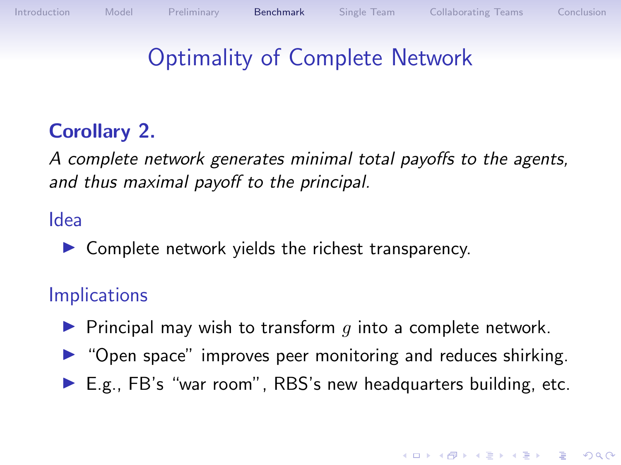# Optimality of Complete Network

## Corollary 2.

A complete network generates minimal total payoffs to the agents, and thus maximal payoff to the principal.

#### Idea

 $\triangleright$  Complete network yields the richest transparency.

### **Implications**

- $\blacktriangleright$  Principal may wish to transform q into a complete network.
- $\triangleright$  "Open space" improves peer monitoring and reduces shirking.
- $\blacktriangleright$  E.g., FB's "war room", RBS's new headquarters building, etc.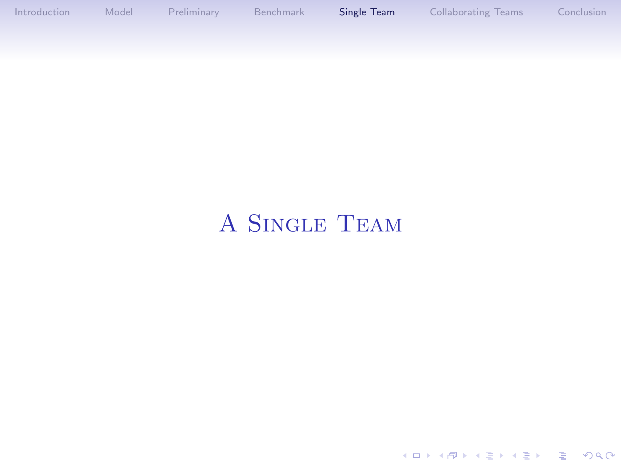<span id="page-18-0"></span>[Introduction](#page-1-0) [Model](#page-5-0) [Preliminary](#page-10-0) [Benchmark](#page-14-0) [Single Team](#page-18-0) [Collaborating Teams](#page-26-0) [Conclusion](#page-37-0)

# A Single Team

KOKK@KKEKKEK E 1990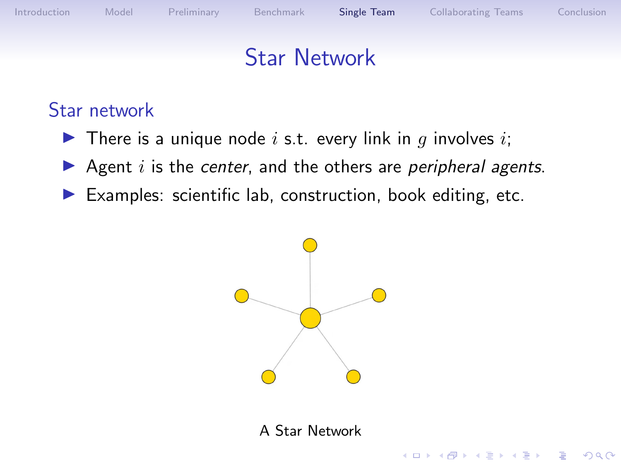**KORK EXTERNE PROVIDE** 

## Star Network

#### Star network

- $\blacktriangleright$  There is a unique node i s.t. every link in q involves i;
- Agent  $i$  is the center, and the others are peripheral agents.
- $\blacktriangleright$  Examples: scientific lab, construction, book editing, etc.



A Star Network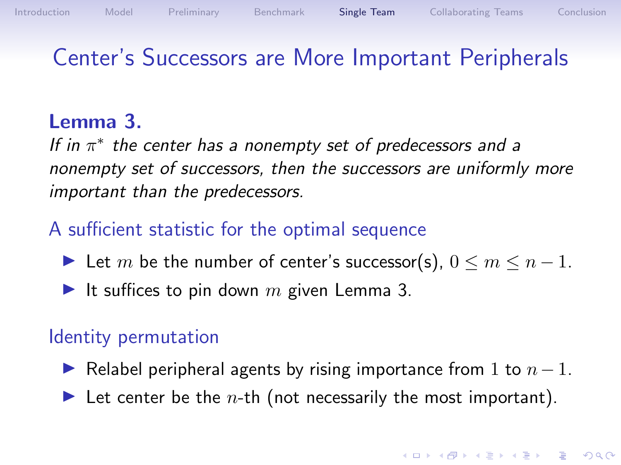## Center's Successors are More Important Peripherals

#### Lemma 3.

<span id="page-20-0"></span>If in  $\pi^*$  the center has a nonempty set of predecessors and a nonempty set of successors, then the successors are uniformly more important than the predecessors.

#### A sufficient statistic for the optimal sequence

- In Let m be the number of center's successor(s),  $0 \le m \le n 1$ .
- It suffices to pin down m given Lemma [3.](#page-20-0)

#### Identity permutation

- $\triangleright$  Relabel peripheral agents by rising importance from 1 to  $n-1$ .
- In Let center be the *n*-th (not necessarily the most important).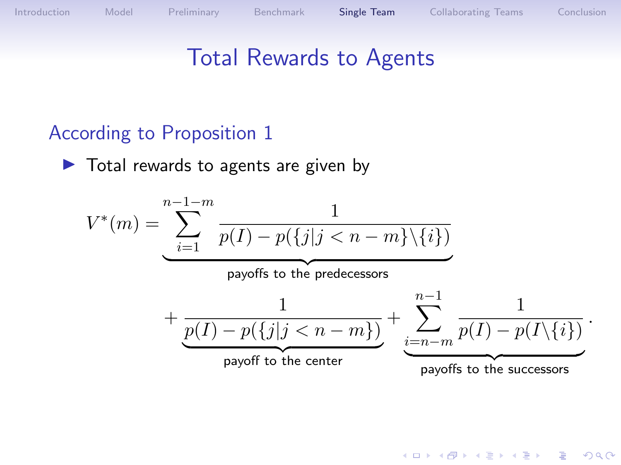K ロ ▶ K 個 ▶ K 할 ▶ K 할 ▶ 이 할 → 9 Q Q →

## Total Rewards to Agents

### According to Proposition 1

 $\blacktriangleright$  Total rewards to agents are given by

$$
V^*(m) = \underbrace{\sum_{i=1}^{n-1-m} \frac{1}{p(I) - p(\{j | j < n - m\} \setminus \{i\})}}_{\text{payoffs to the predecessor}} + \underbrace{\frac{1}{p(I) - p(\{j | j < n - m\})}}_{\text{payoff to the center}} + \underbrace{\sum_{i=n-m}^{n-1} \frac{1}{p(I) - p(I \setminus \{i\})}}_{\text{payoff to the center}}.
$$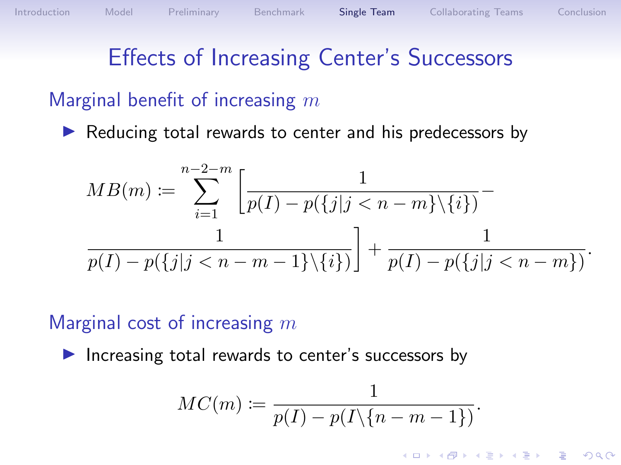# Effects of Increasing Center's Successors

#### Marginal benefit of increasing  $m$

 $\triangleright$  Reducing total rewards to center and his predecessors by

$$
MB(m) := \sum_{i=1}^{n-2-m} \left[ \frac{1}{p(I) - p(\{j | j < n - m\} \setminus \{i\})} - \frac{1}{p(I) - p(\{j | j < n - m - 1\} \setminus \{i\})} \right] + \frac{1}{p(I) - p(\{j | j < n - m\})}.
$$

#### Marginal cost of increasing  $m$

Increasing total rewards to center's successors by

$$
MC(m)\coloneqq\frac{1}{p(I)-p(I\backslash\{n-m-1\})}
$$

K ロ ▶ K 個 ▶ K 할 ▶ K 할 ▶ 이 할 → 이익 @

.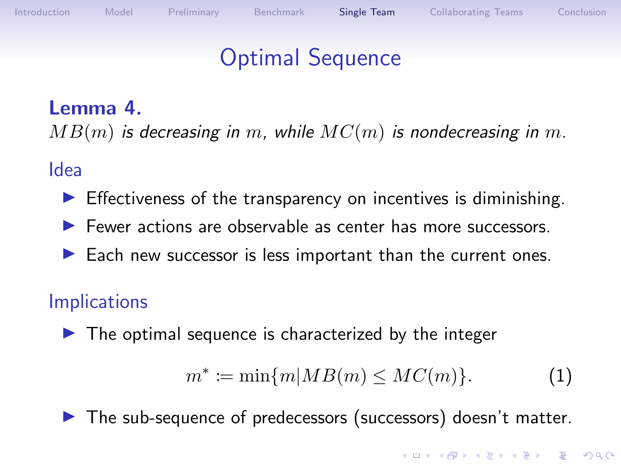## Optimal Sequence

#### Lemma 4.

 $MB(m)$  is decreasing in m, while  $MC(m)$  is nondecreasing in m.

#### Idea

- $\blacktriangleright$  Effectiveness of the transparency on incentives is diminishing.
- $\blacktriangleright$  Fewer actions are observable as center has more successors.
- $\blacktriangleright$  Each new successor is less important than the current ones.

### **Implications**

 $\blacktriangleright$  The optimal sequence is characterized by the integer

<span id="page-23-0"></span>
$$
m^* := \min\{m | MB(m) \le MC(m)\}.
$$
 (1)

 $\blacktriangleright$  The sub-sequence of predecessors (successors) doesn't matter.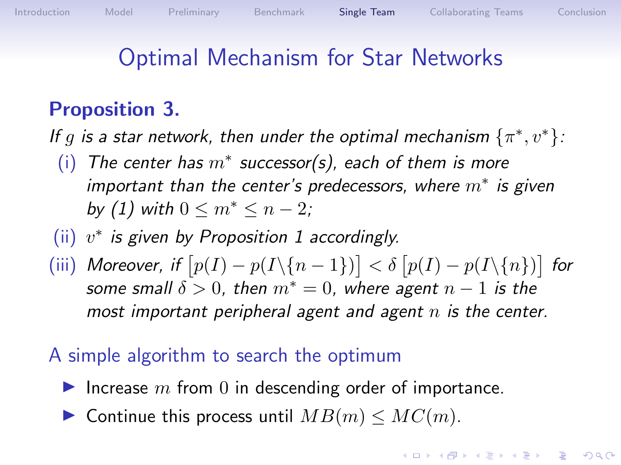## Optimal Mechanism for Star Networks

## Proposition 3.

If g is a star network, then under the optimal mechanism  $\{\pi^*, v^*\}$ :

- (i) The center has  $m^*$  successor(s), each of them is more important than the center's predecessors, where  $m^*$  is given by [\(1\)](#page-23-0) with  $0 \le m^* \le n-2$ ;
- (ii)  $v^*$  is given by Proposition [1](#page-11-0) accordingly.
- (iii) Moreover, if  $[p(I) p(I\setminus{n-1})] < \delta[p(I) p(I\setminus{n})]$  for some small  $\delta > 0$ , then  $m^* = 0$ , where agent  $n - 1$  is the most important peripheral agent and agent  $n$  is the center.
- A simple algorithm to search the optimum
	- Increase  $m$  from 0 in descending order of importance.
	- $\triangleright$  Continue this process until  $MB(m) \leq MC(m)$ .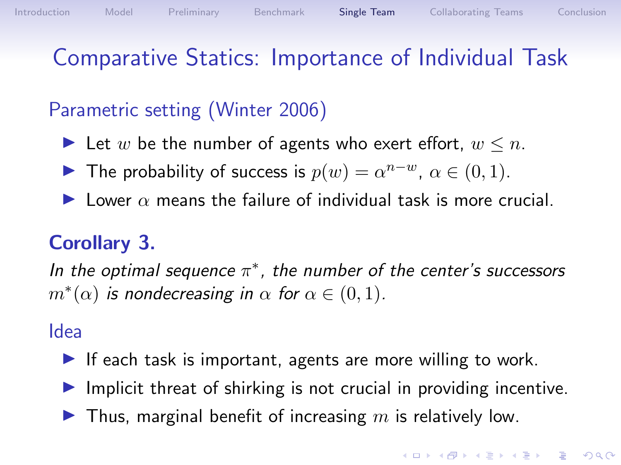# Comparative Statics: Importance of Individual Task

## Parametric setting (Winter 2006)

- In Let w be the number of agents who exert effort,  $w \leq n$ .
- **IF The probability of success is**  $p(w) = \alpha^{n-w}$ ,  $\alpha \in (0,1)$ .
- **I** Lower  $\alpha$  means the failure of individual task is more crucial.

## Corollary 3.

In the optimal sequence  $\pi^*$ , the number of the center's successors  $m^*(\alpha)$  is nondecreasing in  $\alpha$  for  $\alpha \in (0,1)$ .

#### Idea

- If each task is important, agents are more willing to work.
- $\blacktriangleright$  Implicit threat of shirking is not crucial in providing incentive.
- $\blacktriangleright$  Thus, marginal benefit of increasing m is relatively low.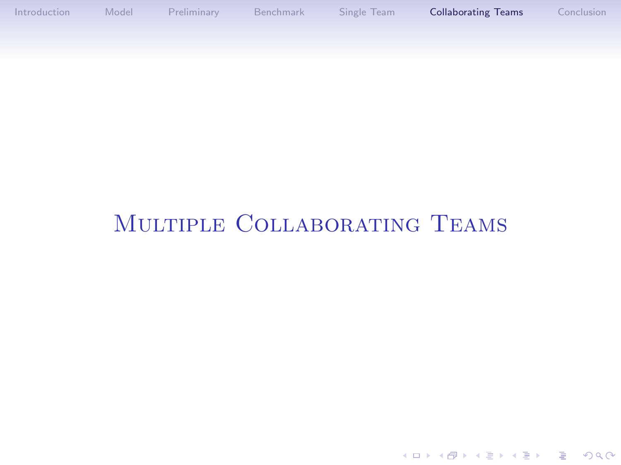<span id="page-26-0"></span>[Introduction](#page-1-0) [Model](#page-5-0) [Preliminary](#page-10-0) [Benchmark](#page-14-0) [Single Team](#page-18-0) [Collaborating Teams](#page-26-0) [Conclusion](#page-37-0)

## Multiple Collaborating Teams

K ロ ▶ K 레 ▶ K 코 ▶ K 코 ▶ 『코 │ ◆ 9 Q Q ↓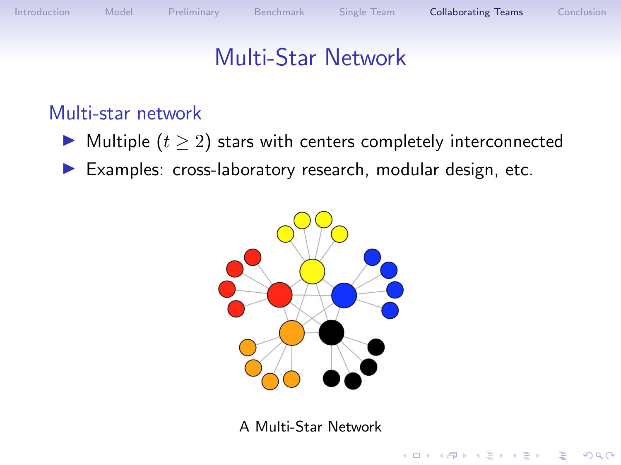**KORK EXTERNE PROVIDE** 

## Multi-Star Network

### Multi-star network

- $\blacktriangleright$  Multiple  $(t \geq 2)$  stars with centers completely interconnected
- $\blacktriangleright$  Examples: cross-laboratory research, modular design, etc.



A Multi-Star Network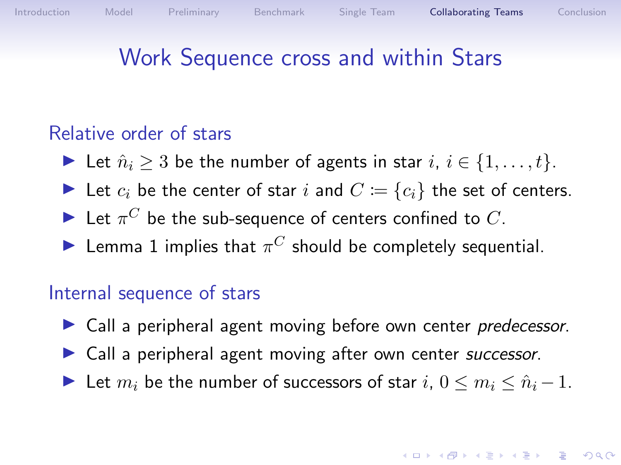# Work Sequence cross and within Stars

### Relative order of stars

- In Let  $\hat{n}_i \geq 3$  be the number of agents in star  $i, i \in \{1, \ldots, t\}$ .
- In Let  $c_i$  be the center of star i and  $C := \{c_i\}$  the set of centers.
- $\blacktriangleright$  Let  $\pi^C$  be the sub-sequence of centers confined to  $C$ .
- Elemma [1](#page-13-0) implies that  $\pi^C$  should be completely sequential.

#### Internal sequence of stars

- $\triangleright$  Call a peripheral agent moving before own center predecessor.
- $\triangleright$  Call a peripheral agent moving after own center successor.
- In Let  $m_i$  be the number of successors of star  $i, 0 \le m_i \le \hat{n}_i 1$ .

#### **KORKAR KERKER SAGA**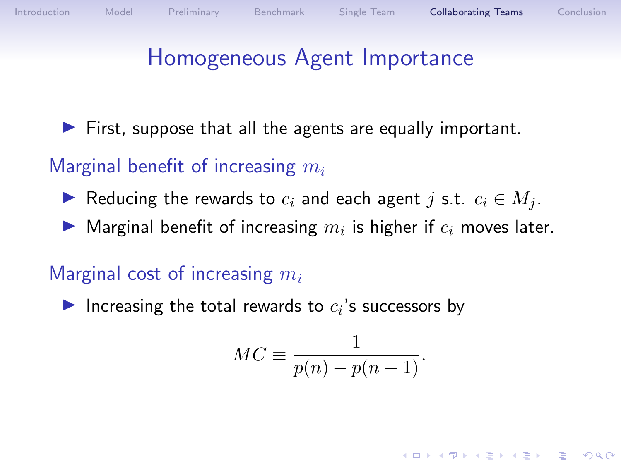## Homogeneous Agent Importance

 $\blacktriangleright$  First, suppose that all the agents are equally important.

### Marginal benefit of increasing  $m_i$

- Reducing the rewards to  $c_i$  and each agent j s.t.  $c_i \in M_i$ .
- $\blacktriangleright$  Marginal benefit of increasing  $m_i$  is higher if  $c_i$  moves later.

### Marginal cost of increasing  $m_i$

Increasing the total rewards to  $c_i$ 's successors by

$$
MC \equiv \frac{1}{p(n) - p(n-1)}.
$$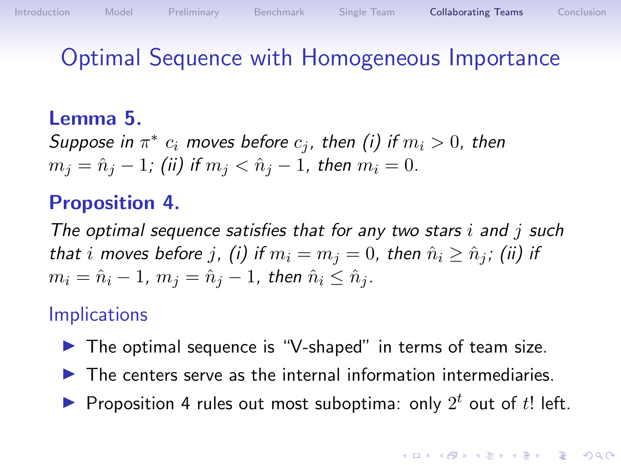## Optimal Sequence with Homogeneous Importance

#### Lemma 5.

Suppose in  $\pi^*$   $c_i$  moves before  $c_j$ , then (i) if  $m_i > 0$ , then  $m_j = \hat{n}_j - 1$ ; (ii) if  $m_j < \hat{n}_j - 1$ , then  $m_i = 0$ .

#### Proposition 4.

<span id="page-30-0"></span>The optimal sequence satisfies that for any two stars  $i$  and  $j$  such that i moves before j, (i) if  $m_i = m_j = 0$ , then  $\hat{n}_i \geq \hat{n}_j$ ; (ii) if  $m_i = \hat{n}_i - 1$ ,  $m_i = \hat{n}_i - 1$ , then  $\hat{n}_i \leq \hat{n}_i$ .

#### **Implications**

- $\triangleright$  The optimal sequence is "V-shaped" in terms of team size.
- $\blacktriangleright$  The centers serve as the internal information intermediaries.
- Proposition [4](#page-30-0) rules out most suboptima: only  $2^t$  out of  $t!$  left.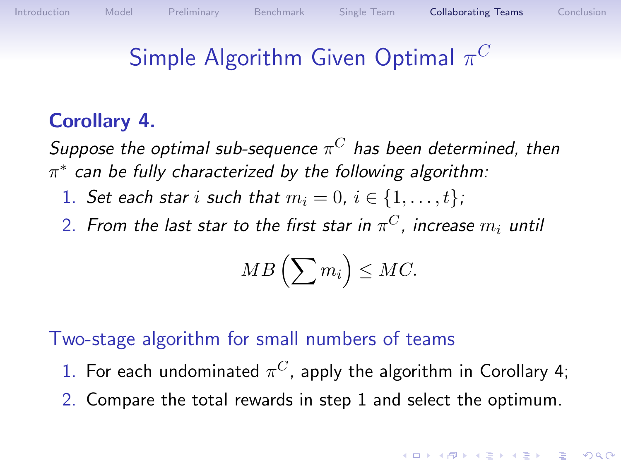# Simple Algorithm Given Optimal  $\pi^C$

### Corollary 4.

<span id="page-31-0"></span>Suppose the optimal sub-sequence  $\pi^C$  has been determined, then  $\pi^*$  can be fully characterized by the following algorithm:

- 1. Set each star i such that  $m_i = 0$ ,  $i \in \{1, \ldots, t\}$ ;
- 2. From the last star to the first star in  $\pi^C$ , increase  $m_i$  until

$$
MB\left(\sum m_i\right)\leq MC.
$$

Two-stage algorithm for small numbers of teams

- 1. For each undominated  $\pi^C$ , apply the algorithm in Corollary [4;](#page-31-0)
- 2. Compare the total rewards in step 1 and select the optimum.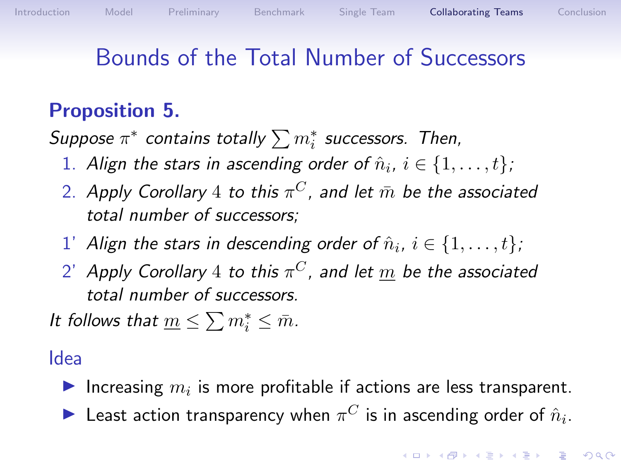# Bounds of the Total Number of Successors

## Proposition 5.

Suppose  $\pi^*$  contains totally  $\sum m^*_i$  successors. Then,

- 1. Align the stars in ascending order of  $\hat{n}_i$ ,  $i \in \{1, \ldots, t\}$ ;
- 2. Apply Corollary  $4$  to this  $\pi^C$ , and let  $\bar{m}$  be the associated total number of successors;
- $1'$  Align the stars in descending order of  $\hat{n}_i, \, i \in \{1, \ldots, t\}$ ;
- $2^\prime$  Apply Corollary  $4$  to this  $\pi^C$ , and let  $\underline{m}$  be the associated total number of successors.

It follows that  $\underline{m} \leq \sum m_i^* \leq \overline{m}$ .

#### Idea

- Increasing  $m_i$  is more profitable if actions are less transparent.
- $\blacktriangleright$  Least action transparency when  $\pi^C$  is in ascending order of  $\hat{n}_i$ .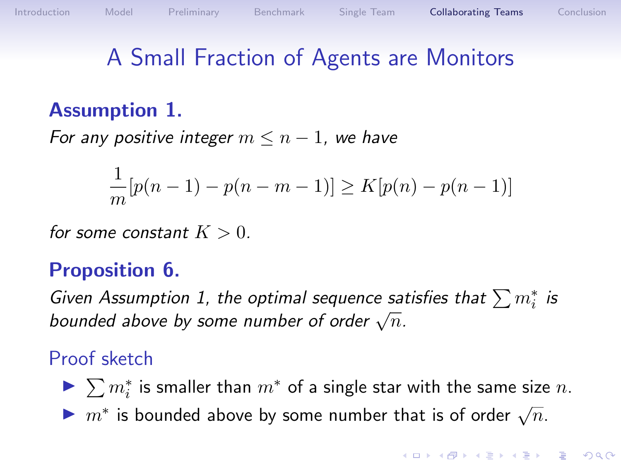## A Small Fraction of Agents are Monitors

### Assumption 1.

<span id="page-33-0"></span>For any positive integer  $m \leq n-1$ , we have

$$
\frac{1}{m}[p(n-1) - p(n-m-1)] \ge K[p(n) - p(n-1)]
$$

for some constant  $K > 0$ .

#### Proposition 6.

Given Assumption [1,](#page-33-0) the optimal sequence satisfies that  $\sum m_i^*$  is  $\frac{1}{2}$  oven Assumption 1, the optimal sequence said bounded above by some number of order  $\sqrt{n}$ .

#### Proof sketch

- ▶  $\sum m_i^*$  is smaller than  $m^*$  of a single star with the same size  $n$ .
- If  $m^*$  is bounded above by some number that is of order  $\sqrt{n}$ .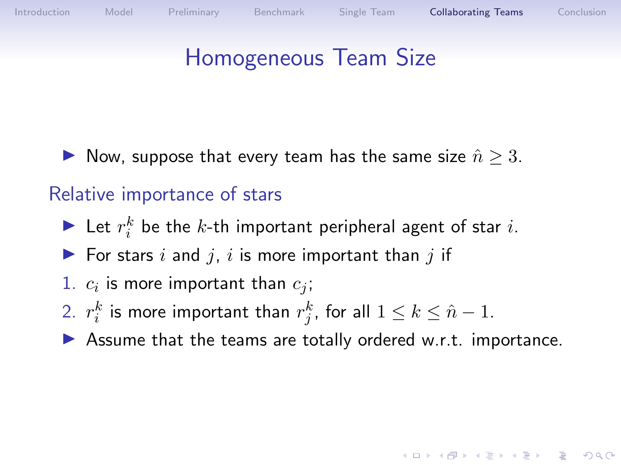# Homogeneous Team Size

▶ Now, suppose that every team has the same size  $\hat{n} \geq 3$ .

#### Relative importance of stars

- In Let  $r_i^k$  be the k-th important peripheral agent of star i.
- $\blacktriangleright$  For stars i and j, i is more important than j if
- 1.  $c_i$  is more important than  $c_j$ ;
- 2.  $r_i^k$  is more important than  $r_j^k$ , for all  $1\leq k\leq \hat{n}-1.$
- $\blacktriangleright$  Assume that the teams are totally ordered w.r.t. importance.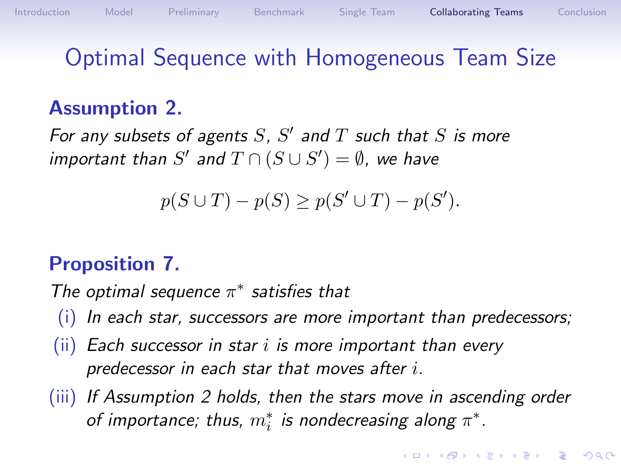# Optimal Sequence with Homogeneous Team Size

### Assumption 2.

<span id="page-35-0"></span>For any subsets of agents  $S$ ,  $S'$  and  $T$  such that  $S$  is more important than  $S'$  and  $T \cap (S \cup S') = \emptyset$ , we have

$$
p(S \cup T) - p(S) \ge p(S' \cup T) - p(S').
$$

### Proposition 7.

The optimal sequence  $\pi^*$  satisfies that

- $(i)$  In each star, successors are more important than predecessors;
- $(ii)$  Each successor in star i is more important than every predecessor in each star that moves after i.
- (iii) If Assumption [2](#page-35-0) holds, then the stars move in ascending order of importance; thus,  $m_i^*$  is nondecreasing along  $\pi^*$ .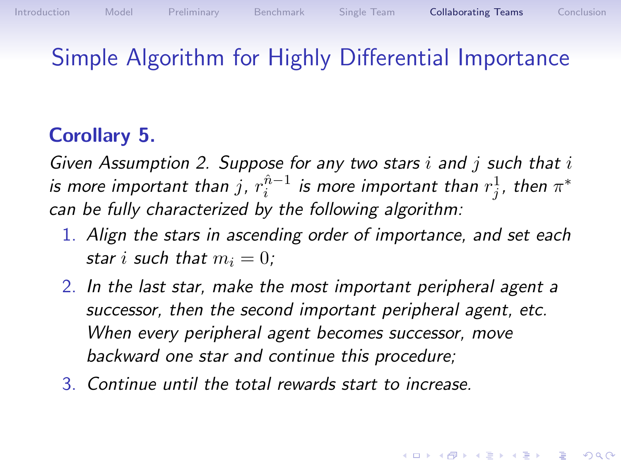## Simple Algorithm for Highly Differential Importance

### Corollary 5.

Given Assumption [2.](#page-35-0) Suppose for any two stars i and j such that  $i$ is more important than  $j$ ,  $r_i^{\hat{n}-1}$  is more important than  $r_j^1$ , then  $\pi^*$ can be fully characterized by the following algorithm:

- 1. Align the stars in ascending order of importance, and set each star i such that  $m_i = 0$ :
- 2. In the last star, make the most important peripheral agent a successor, then the second important peripheral agent, etc. When every peripheral agent becomes successor, move backward one star and continue this procedure;
- 3. Continue until the total rewards start to increase.